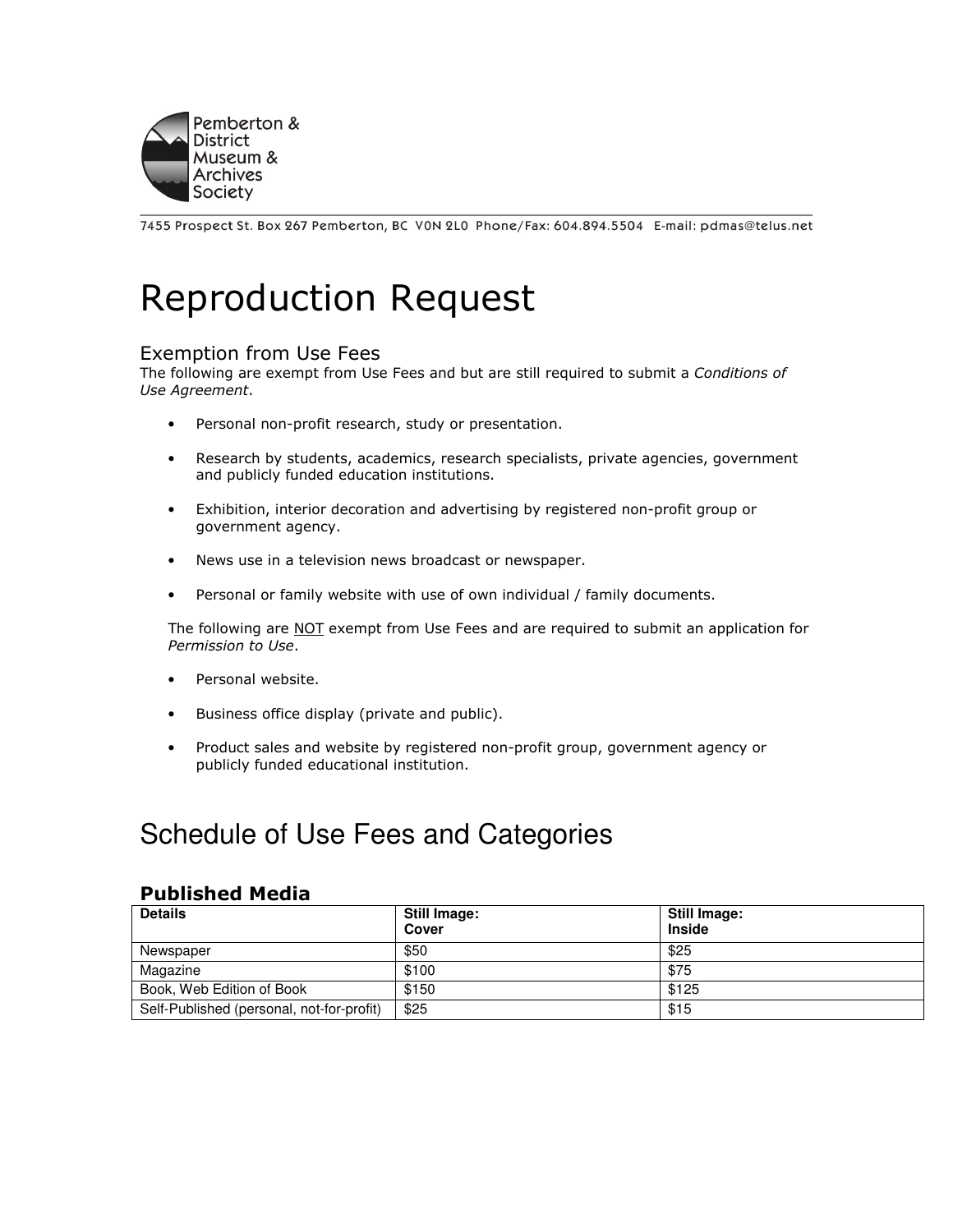

7455 Prospect St. Box 267 Pemberton, BC VON 2L0 Phone/Fax: 604.894.5504 E-mail: pdmas@telus.net

# Reproduction Request

#### Exemption from Use Fees

The following are exempt from Use Fees and but are still required to submit a Conditions of Use Agreement.

- Personal non-profit research, study or presentation.
- Research by students, academics, research specialists, private agencies, government and publicly funded education institutions.
- Exhibition, interior decoration and advertising by registered non-profit group or government agency.
- News use in a television news broadcast or newspaper.
- Personal or family website with use of own individual / family documents.

The following are NOT exempt from Use Fees and are required to submit an application for Permission to Use.

- Personal website.
- Business office display (private and public).
- Product sales and website by registered non-profit group, government agency or publicly funded educational institution.

# Schedule of Use Fees and Categories

#### Published Media

| <b>Details</b>                            | Still Image:<br>Cover | <b>Still Image:</b><br><b>Inside</b> |
|-------------------------------------------|-----------------------|--------------------------------------|
| Newspaper                                 | \$50                  | \$25                                 |
| Magazine                                  | \$100                 | \$75                                 |
| Book, Web Edition of Book                 | \$150                 | \$125                                |
| Self-Published (personal, not-for-profit) | \$25                  | \$15                                 |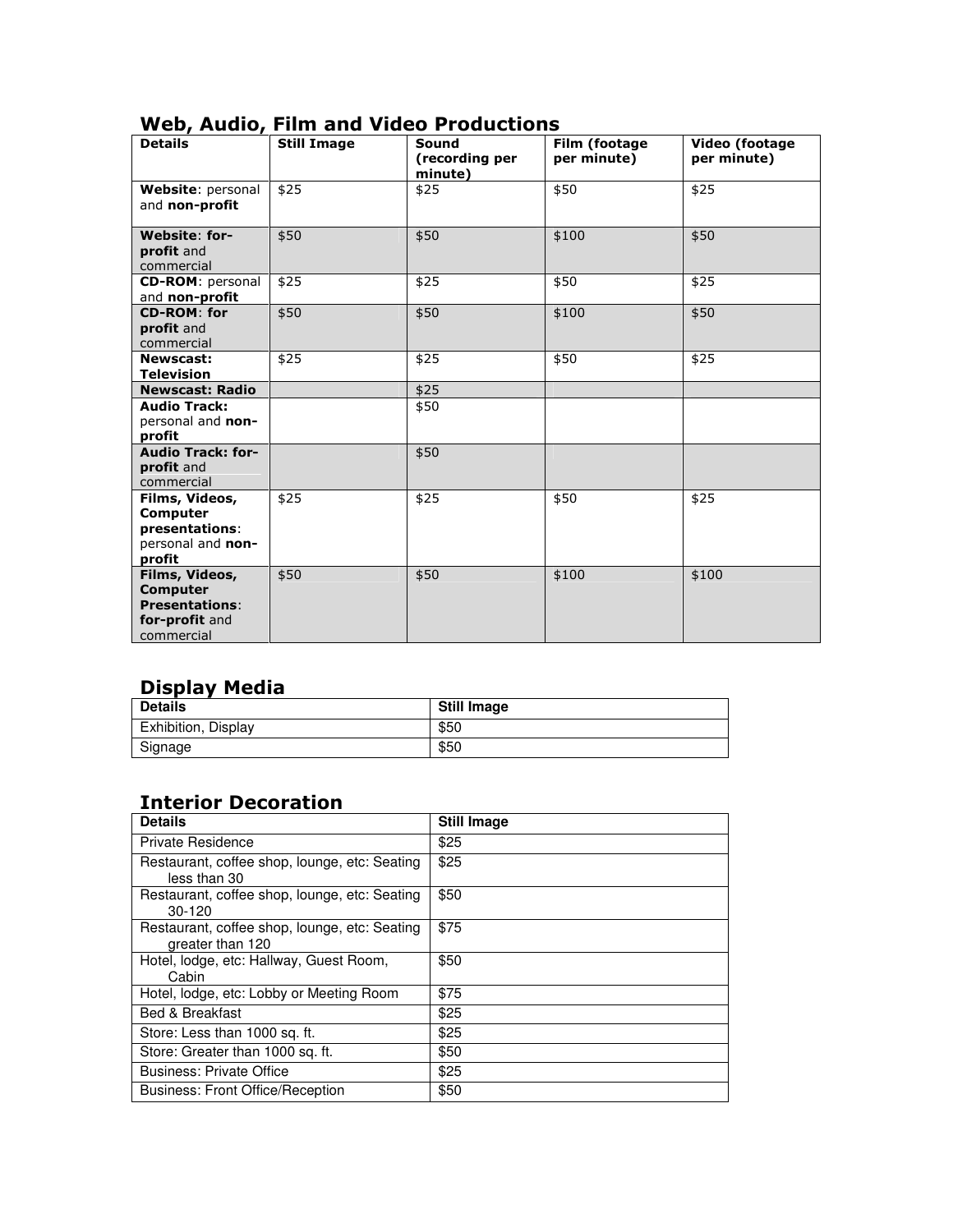| ,<br><b>Details</b>                                                                 | <b>Still Image</b> | Sound<br>(recording per<br>minute) | Film (footage<br>per minute) | Video (footage<br>per minute) |
|-------------------------------------------------------------------------------------|--------------------|------------------------------------|------------------------------|-------------------------------|
| Website: personal<br>and non-profit                                                 | \$25               | \$25                               | \$50                         | \$25                          |
| <b>Website: for-</b><br>profit and<br>commercial                                    | \$50               | \$50                               | \$100                        | \$50                          |
| <b>CD-ROM: personal</b><br>and non-profit                                           | \$25               | \$25                               | \$50                         | \$25                          |
| <b>CD-ROM: for</b><br>profit and<br>commercial                                      | \$50               | \$50                               | \$100                        | \$50                          |
| <b>Newscast:</b><br><b>Television</b>                                               | \$25               | \$25                               | \$50                         | \$25                          |
| <b>Newscast: Radio</b>                                                              |                    | \$25                               |                              |                               |
| <b>Audio Track:</b><br>personal and non-<br>profit                                  |                    | \$50                               |                              |                               |
| <b>Audio Track: for-</b><br>profit and<br>commercial                                |                    | \$50                               |                              |                               |
| Films, Videos,<br>Computer<br>presentations:<br>personal and non-<br>profit         | \$25               | \$25                               | \$50                         | \$25                          |
| Films, Videos,<br>Computer<br><b>Presentations:</b><br>for-profit and<br>commercial | \$50               | \$50                               | \$100                        | \$100                         |

#### Web, Audio, Film and Video Productions

#### Display Media

| <b>Details</b>      | <b>Still Image</b> |
|---------------------|--------------------|
| Exhibition, Display | \$50               |
| Signage             | \$50               |

## Interior Decoration

| <b>Details</b>                                                    | <b>Still Image</b> |
|-------------------------------------------------------------------|--------------------|
| <b>Private Residence</b>                                          | \$25               |
| Restaurant, coffee shop, lounge, etc: Seating<br>less than 30     | \$25               |
| Restaurant, coffee shop, lounge, etc: Seating<br>$30-120$         | \$50               |
| Restaurant, coffee shop, lounge, etc: Seating<br>greater than 120 | \$75               |
| Hotel, lodge, etc: Hallway, Guest Room,<br>Cabin                  | \$50               |
| Hotel, lodge, etc: Lobby or Meeting Room                          | \$75               |
| <b>Bed &amp; Breakfast</b>                                        | \$25               |
| Store: Less than 1000 sq. ft.                                     | \$25               |
| Store: Greater than 1000 sq. ft.                                  | \$50               |
| <b>Business: Private Office</b>                                   | \$25               |
| <b>Business: Front Office/Reception</b>                           | \$50               |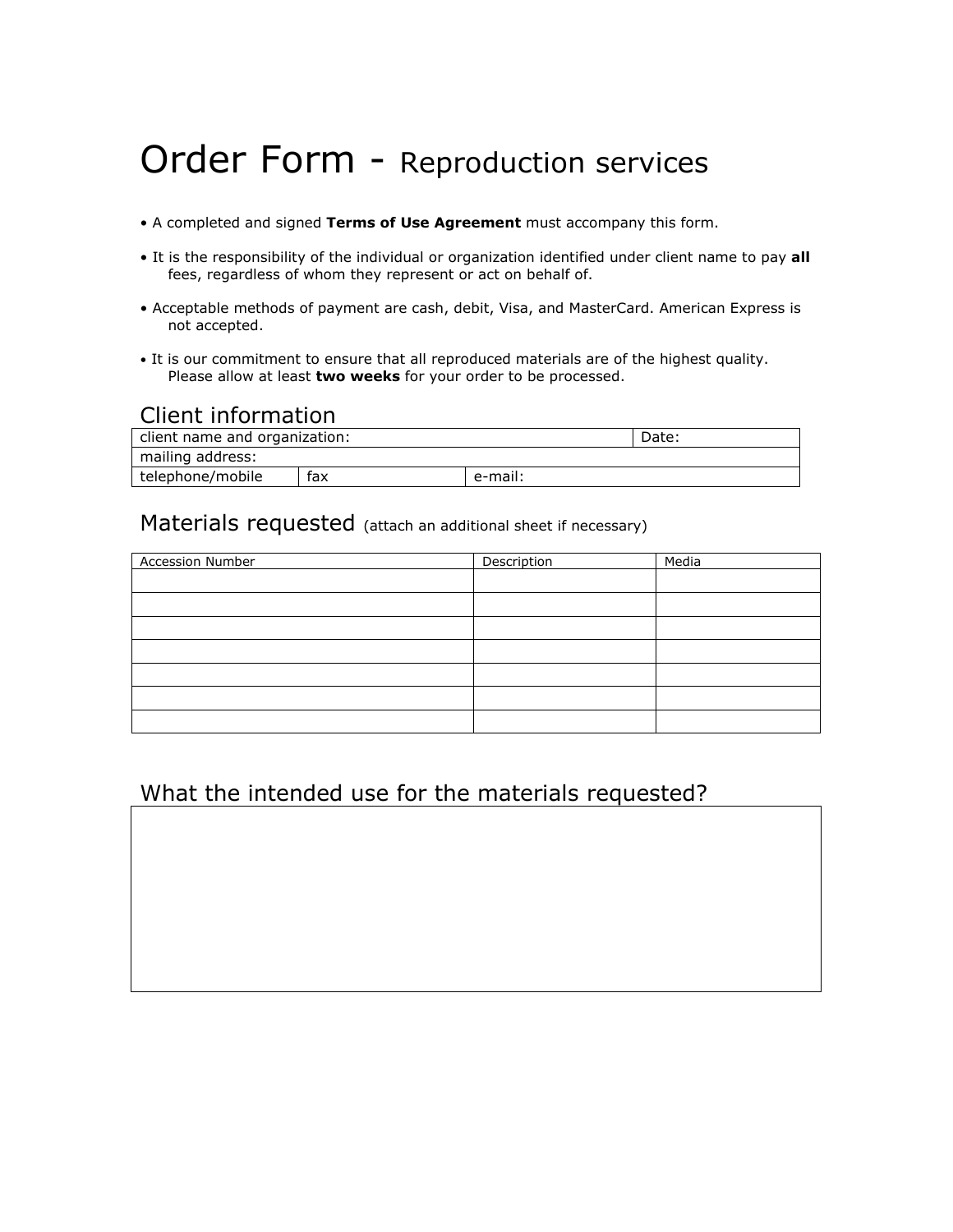# Order Form - Reproduction services

- A completed and signed Terms of Use Agreement must accompany this form.
- It is the responsibility of the individual or organization identified under client name to pay all fees, regardless of whom they represent or act on behalf of.
- Acceptable methods of payment are cash, debit, Visa, and MasterCard. American Express is not accepted.
- It is our commitment to ensure that all reproduced materials are of the highest quality. Please allow at least two weeks for your order to be processed.

#### Client information

| client name and organization: |     |         | Date: |
|-------------------------------|-----|---------|-------|
| mailing address:              |     |         |       |
| telephone/mobile              | fax | e-mail: |       |

#### Materials requested (attach an additional sheet if necessary)

| Accession Number | Description | Media |
|------------------|-------------|-------|
|                  |             |       |
|                  |             |       |
|                  |             |       |
|                  |             |       |
|                  |             |       |
|                  |             |       |
|                  |             |       |

## What the intended use for the materials requested?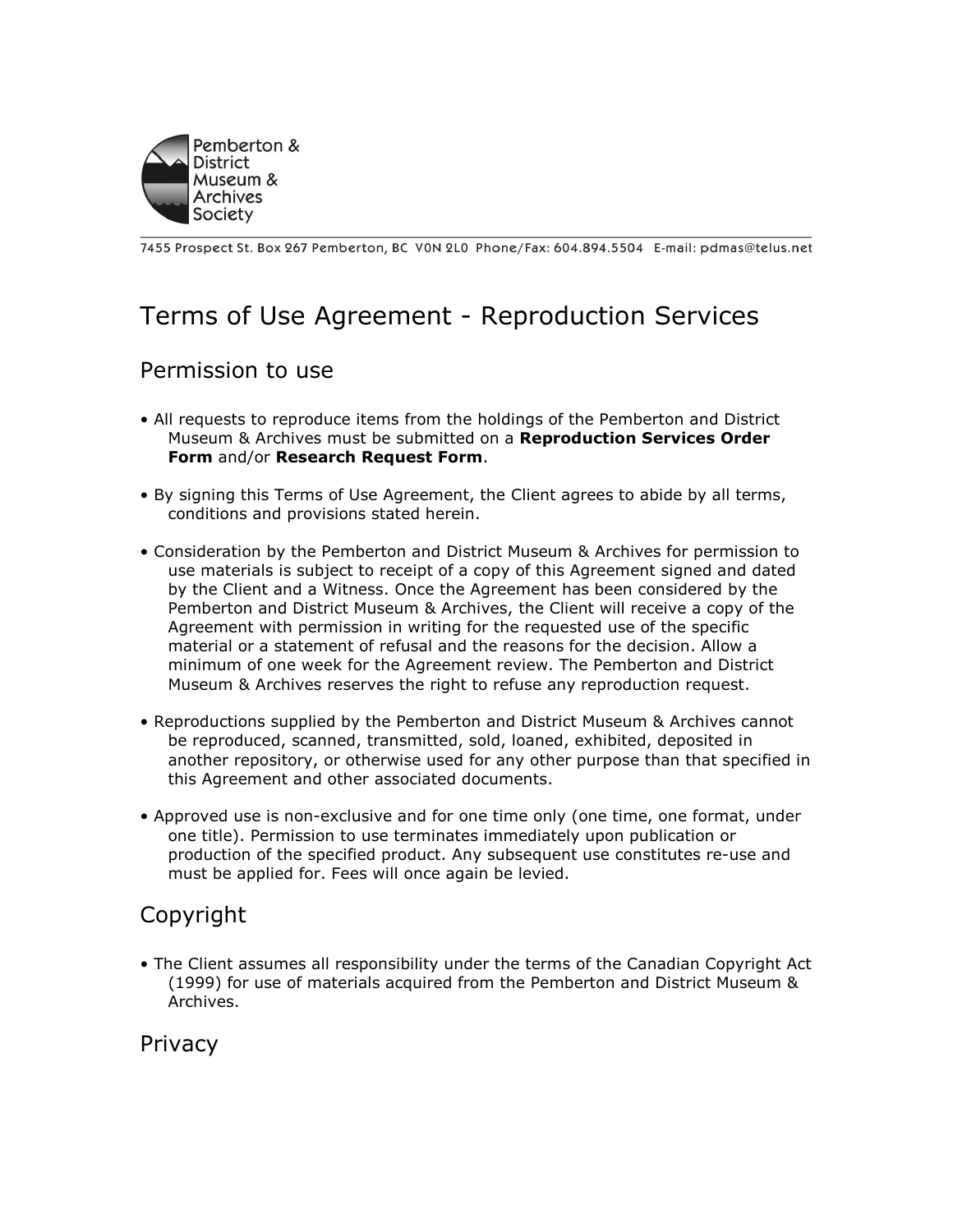

7455 Prospect St. Box 267 Pemberton, BC VON 2L0 Phone/Fax: 604.894.5504 E-mail: pdmas@telus.net

# Terms of Use Agreement - Reproduction Services

#### Permission to use

- All requests to reproduce items from the holdings of the Pemberton and District Museum & Archives must be submitted on a Reproduction Services Order Form and/or Research Request Form.
- By signing this Terms of Use Agreement, the Client agrees to abide by all terms, conditions and provisions stated herein.
- Consideration by the Pemberton and District Museum & Archives for permission to use materials is subject to receipt of a copy of this Agreement signed and dated by the Client and a Witness. Once the Agreement has been considered by the Pemberton and District Museum & Archives, the Client will receive a copy of the Agreement with permission in writing for the requested use of the specific material or a statement of refusal and the reasons for the decision. Allow a minimum of one week for the Agreement review. The Pemberton and District Museum & Archives reserves the right to refuse any reproduction request.
- Reproductions supplied by the Pemberton and District Museum & Archives cannot be reproduced, scanned, transmitted, sold, loaned, exhibited, deposited in another repository, or otherwise used for any other purpose than that specified in this Agreement and other associated documents.
- Approved use is non-exclusive and for one time only (one time, one format, under one title). Permission to use terminates immediately upon publication or production of the specified product. Any subsequent use constitutes re-use and must be applied for. Fees will once again be levied.

# Copyright

• The Client assumes all responsibility under the terms of the Canadian Copyright Act (1999) for use of materials acquired from the Pemberton and District Museum & Archives.

Privacy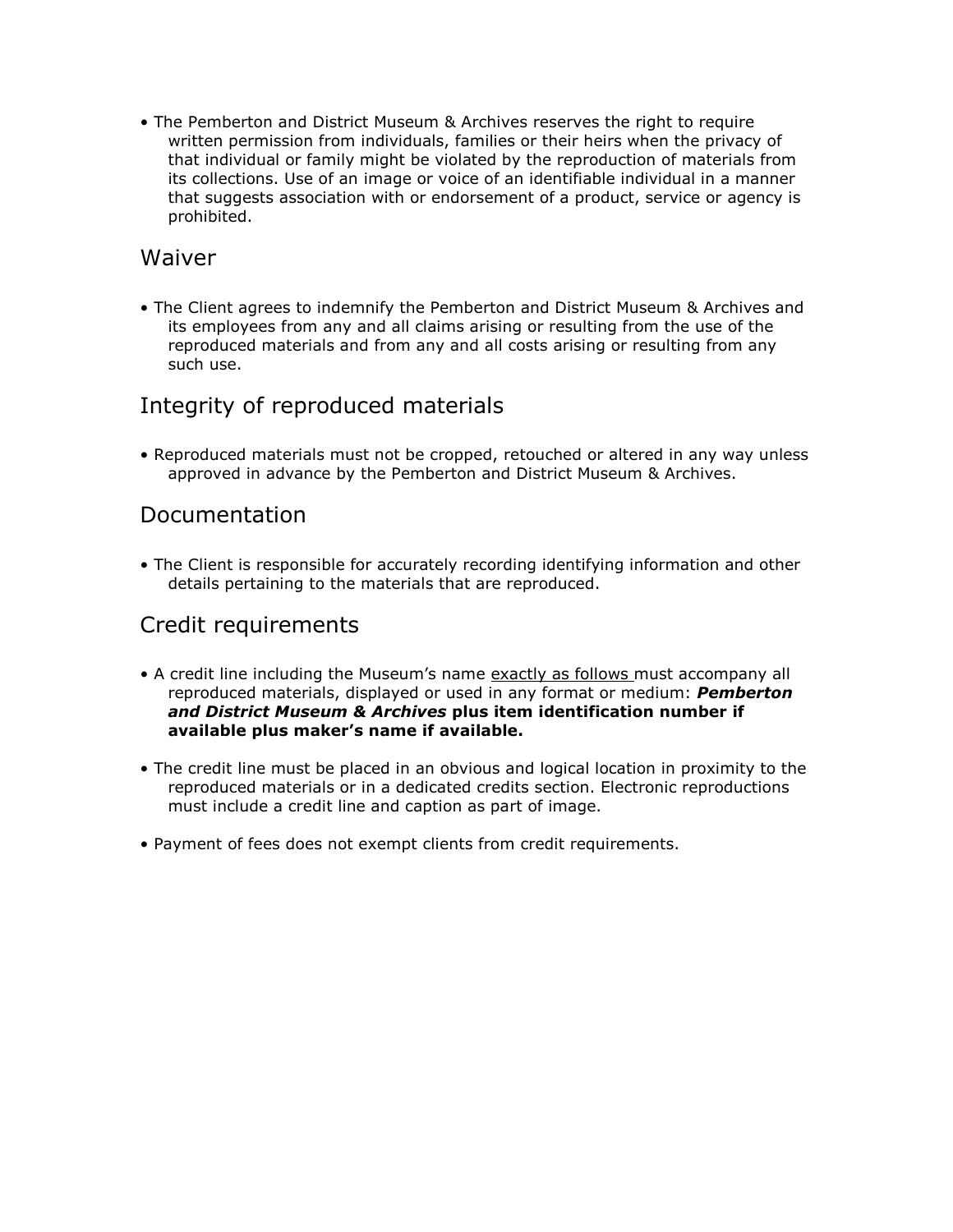• The Pemberton and District Museum & Archives reserves the right to require written permission from individuals, families or their heirs when the privacy of that individual or family might be violated by the reproduction of materials from its collections. Use of an image or voice of an identifiable individual in a manner that suggests association with or endorsement of a product, service or agency is prohibited.

#### Waiver

• The Client agrees to indemnify the Pemberton and District Museum & Archives and its employees from any and all claims arising or resulting from the use of the reproduced materials and from any and all costs arising or resulting from any such use.

# Integrity of reproduced materials

• Reproduced materials must not be cropped, retouched or altered in any way unless approved in advance by the Pemberton and District Museum & Archives.

#### Documentation

• The Client is responsible for accurately recording identifying information and other details pertaining to the materials that are reproduced.

#### Credit requirements

- A credit line including the Museum's name exactly as follows must accompany all reproduced materials, displayed or used in any format or medium: **Pemberton** and District Museum & Archives plus item identification number if available plus maker's name if available.
- The credit line must be placed in an obvious and logical location in proximity to the reproduced materials or in a dedicated credits section. Electronic reproductions must include a credit line and caption as part of image.
- Payment of fees does not exempt clients from credit requirements.